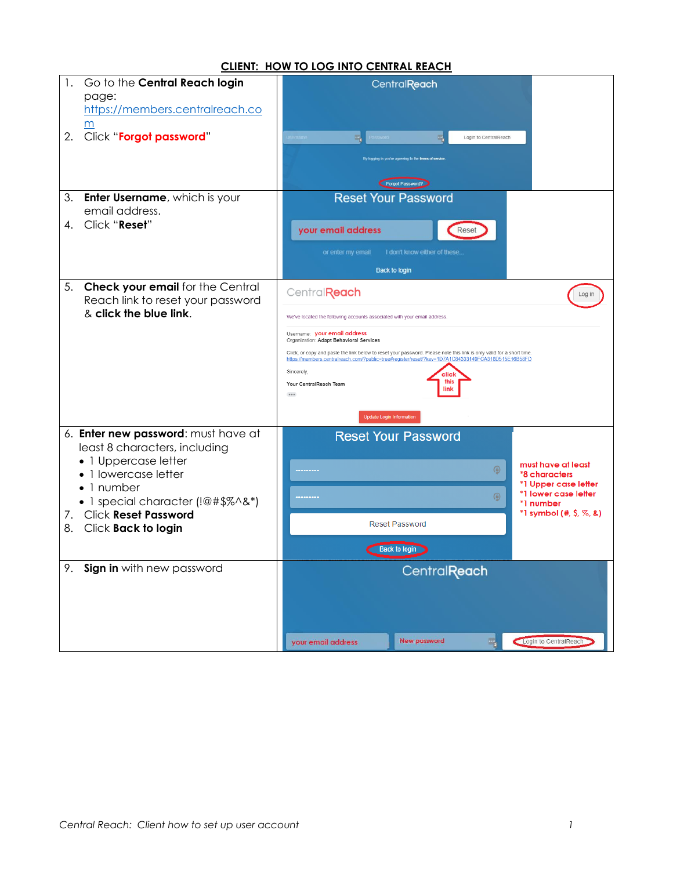## **CLIENT: HOW TO LOG INTO CENTRAL REACH**

| Go to the Central Reach login<br>1.                         | CentralReach                                                                                                                                                                                                                |                                               |  |  |  |
|-------------------------------------------------------------|-----------------------------------------------------------------------------------------------------------------------------------------------------------------------------------------------------------------------------|-----------------------------------------------|--|--|--|
| page:                                                       |                                                                                                                                                                                                                             |                                               |  |  |  |
| https://members.centralreach.co                             |                                                                                                                                                                                                                             |                                               |  |  |  |
| m<br>2.<br>Click "Forgot password"                          | Login to CentralReach                                                                                                                                                                                                       |                                               |  |  |  |
|                                                             |                                                                                                                                                                                                                             |                                               |  |  |  |
|                                                             | By logging in you're agreeing to the terms of service                                                                                                                                                                       |                                               |  |  |  |
|                                                             | Forgot Password?                                                                                                                                                                                                            |                                               |  |  |  |
| 3.<br><b>Enter Username, which is your</b>                  | <b>Reset Your Password</b>                                                                                                                                                                                                  |                                               |  |  |  |
| email address.<br>Click "Reset"<br>4.                       |                                                                                                                                                                                                                             |                                               |  |  |  |
|                                                             | your email address<br>Rese                                                                                                                                                                                                  |                                               |  |  |  |
|                                                             | or enter my email<br>I don't know either of these.                                                                                                                                                                          |                                               |  |  |  |
|                                                             | <b>Back to login</b>                                                                                                                                                                                                        |                                               |  |  |  |
| 5. Check your email for the Central                         | Central <b>Reach</b>                                                                                                                                                                                                        | Log in                                        |  |  |  |
| Reach link to reset your password<br>& click the blue link. |                                                                                                                                                                                                                             |                                               |  |  |  |
|                                                             | We've located the following accounts associated with your email address.                                                                                                                                                    |                                               |  |  |  |
|                                                             | Username: your email address<br>Organization: Adapt Behavioral Services                                                                                                                                                     |                                               |  |  |  |
|                                                             | Click, or copy and paste the link below to reset your password. Please note this link is only valid for a short time.<br>https://members.centralreach.com/?public=true#reqister/reset/?key=1D7A1C84333149FCA318D515E16B58FD |                                               |  |  |  |
|                                                             | Sincerely.<br>this<br>Your CentralReach Team                                                                                                                                                                                |                                               |  |  |  |
|                                                             | link<br>                                                                                                                                                                                                                    |                                               |  |  |  |
|                                                             | <b>Update Login Information</b>                                                                                                                                                                                             |                                               |  |  |  |
| 6. Enter new password: must have at                         | <b>Reset Your Password</b>                                                                                                                                                                                                  |                                               |  |  |  |
| least 8 characters, including                               |                                                                                                                                                                                                                             |                                               |  |  |  |
| • 1 Uppercase letter<br>• 1 lowercase letter                | ⊕<br>                                                                                                                                                                                                                       | must have at least<br>*8 characters           |  |  |  |
| $\bullet$ 1 number                                          |                                                                                                                                                                                                                             | *1 Upper case letter<br>*1 lower case letter  |  |  |  |
| • 1 special character (!@#\$%^&*)                           | $\circledcirc$<br>                                                                                                                                                                                                          | *1 number                                     |  |  |  |
| 7. Click Reset Password                                     | <b>Reset Password</b>                                                                                                                                                                                                       | $*1$ symbol $(*, $, \mathcal{Z}, \mathbf{a})$ |  |  |  |
| Click <b>Back to login</b><br>8.                            |                                                                                                                                                                                                                             |                                               |  |  |  |
|                                                             | <b>Back to login</b>                                                                                                                                                                                                        |                                               |  |  |  |
| 9. Sign in with new password                                | <b>CentralReach</b>                                                                                                                                                                                                         |                                               |  |  |  |
|                                                             |                                                                                                                                                                                                                             |                                               |  |  |  |
|                                                             |                                                                                                                                                                                                                             |                                               |  |  |  |
|                                                             |                                                                                                                                                                                                                             |                                               |  |  |  |
|                                                             | <b>New password</b><br>your email address<br>$\Box$                                                                                                                                                                         | Login to CentralReach                         |  |  |  |